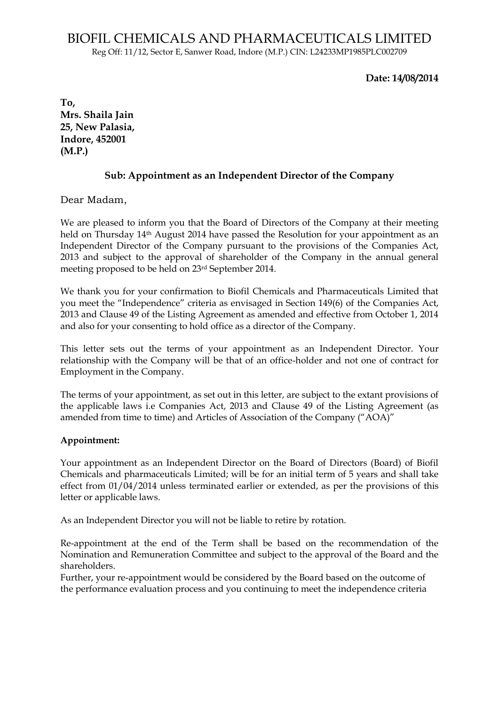Reg Off: 11/12, Sector E, Sanwer Road, Indore (M.P.) CIN: L24233MP1985PLC002709

## **Date: 14/08/2014**

**To, Mrs. Shaila Jain 25, New Palasia, Indore, 452001 (M.P.)**

## **Sub: Appointment as an Independent Director of the Company**

Dear Madam,

We are pleased to inform you that the Board of Directors of the Company at their meeting held on Thursday 14th August 2014 have passed the Resolution for your appointment as an Independent Director of the Company pursuant to the provisions of the Companies Act, 2013 and subject to the approval of shareholder of the Company in the annual general meeting proposed to be held on 23rd September 2014.

We thank you for your confirmation to Biofil Chemicals and Pharmaceuticals Limited that you meet the "Independence" criteria as envisaged in Section 149(6) of the Companies Act, 2013 and Clause 49 of the Listing Agreement as amended and effective from October 1, 2014 and also for your consenting to hold office as a director of the Company.

This letter sets out the terms of your appointment as an Independent Director. Your relationship with the Company will be that of an office-holder and not one of contract for Employment in the Company.

The terms of your appointment, as set out in this letter, are subject to the extant provisions of the applicable laws i.e Companies Act, 2013 and Clause 49 of the Listing Agreement (as amended from time to time) and Articles of Association of the Company ("AOA)"

## **Appointment:**

Your appointment as an Independent Director on the Board of Directors (Board) of Biofil Chemicals and pharmaceuticals Limited; will be for an initial term of 5 years and shall take effect from 01/04/2014 unless terminated earlier or extended, as per the provisions of this letter or applicable laws.

As an Independent Director you will not be liable to retire by rotation.

Re-appointment at the end of the Term shall be based on the recommendation of the Nomination and Remuneration Committee and subject to the approval of the Board and the shareholders.

Further, your re-appointment would be considered by the Board based on the outcome of the performance evaluation process and you continuing to meet the independence criteria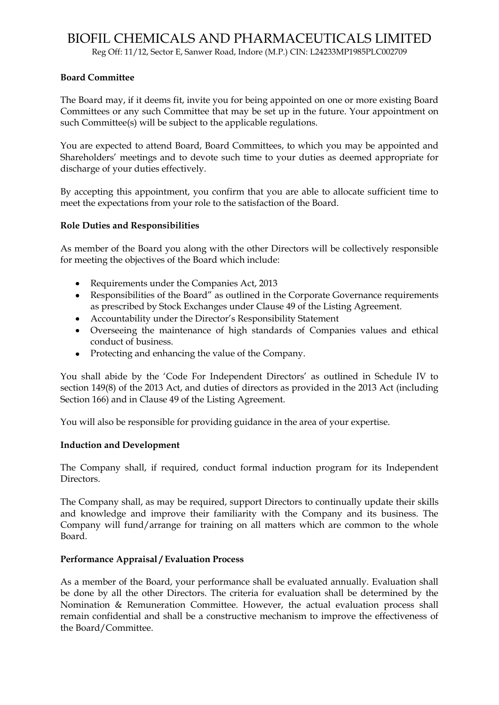Reg Off: 11/12, Sector E, Sanwer Road, Indore (M.P.) CIN: L24233MP1985PLC002709

#### **Board Committee**

The Board may, if it deems fit, invite you for being appointed on one or more existing Board Committees or any such Committee that may be set up in the future. Your appointment on such Committee(s) will be subject to the applicable regulations.

You are expected to attend Board, Board Committees, to which you may be appointed and Shareholders" meetings and to devote such time to your duties as deemed appropriate for discharge of your duties effectively.

By accepting this appointment, you confirm that you are able to allocate sufficient time to meet the expectations from your role to the satisfaction of the Board.

#### **Role Duties and Responsibilities**

As member of the Board you along with the other Directors will be collectively responsible for meeting the objectives of the Board which include:

- Requirements under the Companies Act, 2013
- Responsibilities of the Board" as outlined in the Corporate Governance requirements as prescribed by Stock Exchanges under Clause 49 of the Listing Agreement.
- Accountability under the Director"s Responsibility Statement
- Overseeing the maintenance of high standards of Companies values and ethical conduct of business.
- Protecting and enhancing the value of the Company.

You shall abide by the 'Code For Independent Directors' as outlined in Schedule IV to section 149(8) of the 2013 Act, and duties of directors as provided in the 2013 Act (including Section 166) and in Clause 49 of the Listing Agreement.

You will also be responsible for providing guidance in the area of your expertise.

#### **Induction and Development**

The Company shall, if required, conduct formal induction program for its Independent Directors.

The Company shall, as may be required, support Directors to continually update their skills and knowledge and improve their familiarity with the Company and its business. The Company will fund/arrange for training on all matters which are common to the whole Board.

#### **Performance Appraisal / Evaluation Process**

As a member of the Board, your performance shall be evaluated annually. Evaluation shall be done by all the other Directors. The criteria for evaluation shall be determined by the Nomination & Remuneration Committee. However, the actual evaluation process shall remain confidential and shall be a constructive mechanism to improve the effectiveness of the Board/Committee.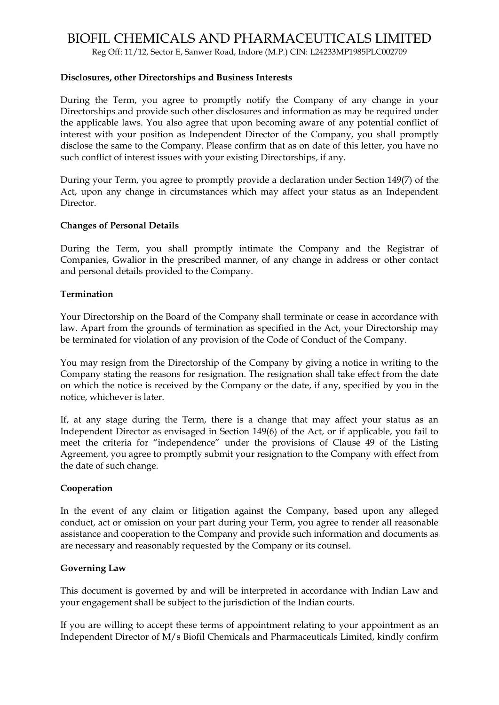Reg Off: 11/12, Sector E, Sanwer Road, Indore (M.P.) CIN: L24233MP1985PLC002709

#### **Disclosures, other Directorships and Business Interests**

During the Term, you agree to promptly notify the Company of any change in your Directorships and provide such other disclosures and information as may be required under the applicable laws. You also agree that upon becoming aware of any potential conflict of interest with your position as Independent Director of the Company, you shall promptly disclose the same to the Company. Please confirm that as on date of this letter, you have no such conflict of interest issues with your existing Directorships, if any.

During your Term, you agree to promptly provide a declaration under Section 149(7) of the Act, upon any change in circumstances which may affect your status as an Independent Director.

#### **Changes of Personal Details**

During the Term, you shall promptly intimate the Company and the Registrar of Companies, Gwalior in the prescribed manner, of any change in address or other contact and personal details provided to the Company.

#### **Termination**

Your Directorship on the Board of the Company shall terminate or cease in accordance with law. Apart from the grounds of termination as specified in the Act, your Directorship may be terminated for violation of any provision of the Code of Conduct of the Company.

You may resign from the Directorship of the Company by giving a notice in writing to the Company stating the reasons for resignation. The resignation shall take effect from the date on which the notice is received by the Company or the date, if any, specified by you in the notice, whichever is later.

If, at any stage during the Term, there is a change that may affect your status as an Independent Director as envisaged in Section 149(6) of the Act, or if applicable, you fail to meet the criteria for "independence" under the provisions of Clause 49 of the Listing Agreement, you agree to promptly submit your resignation to the Company with effect from the date of such change.

#### **Cooperation**

In the event of any claim or litigation against the Company, based upon any alleged conduct, act or omission on your part during your Term, you agree to render all reasonable assistance and cooperation to the Company and provide such information and documents as are necessary and reasonably requested by the Company or its counsel.

#### **Governing Law**

This document is governed by and will be interpreted in accordance with Indian Law and your engagement shall be subject to the jurisdiction of the Indian courts.

If you are willing to accept these terms of appointment relating to your appointment as an Independent Director of M/s Biofil Chemicals and Pharmaceuticals Limited, kindly confirm